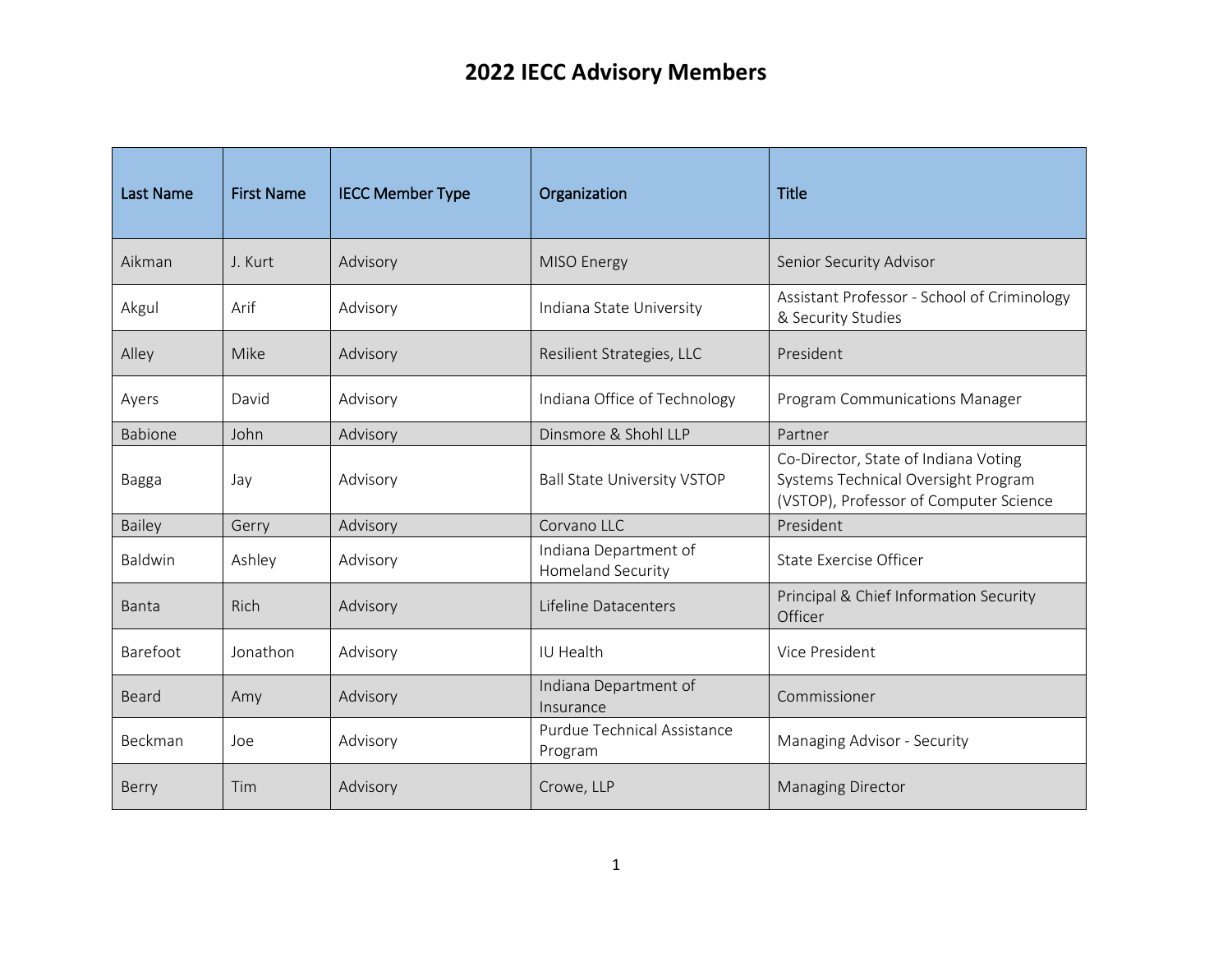| <b>Last Name</b> | <b>First Name</b> | <b>IECC Member Type</b> | Organization                                  | <b>Title</b>                                                                                                          |
|------------------|-------------------|-------------------------|-----------------------------------------------|-----------------------------------------------------------------------------------------------------------------------|
| Aikman           | J. Kurt           | Advisory                | MISO Energy                                   | Senior Security Advisor                                                                                               |
| Akgul            | Arif              | Advisory                | Indiana State University                      | Assistant Professor - School of Criminology<br>& Security Studies                                                     |
| Alley            | Mike              | Advisory                | Resilient Strategies, LLC                     | President                                                                                                             |
| Ayers            | David             | Advisory                | Indiana Office of Technology                  | Program Communications Manager                                                                                        |
| Babione          | John              | Advisory                | Dinsmore & Shohl LLP                          | Partner                                                                                                               |
| Bagga            | Jay               | Advisory                | <b>Ball State University VSTOP</b>            | Co-Director, State of Indiana Voting<br>Systems Technical Oversight Program<br>(VSTOP), Professor of Computer Science |
| Bailey           | Gerry             | Advisory                | Corvano LLC                                   | President                                                                                                             |
| Baldwin          | Ashley            | Advisory                | Indiana Department of<br>Homeland Security    | <b>State Exercise Officer</b>                                                                                         |
| Banta            | Rich              | Advisory                | Lifeline Datacenters                          | Principal & Chief Information Security<br>Officer                                                                     |
| Barefoot         | Jonathon          | Advisory                | IU Health                                     | Vice President                                                                                                        |
| Beard            | Amy               | Advisory                | Indiana Department of<br>Insurance            | Commissioner                                                                                                          |
| Beckman          | Joe               | Advisory                | <b>Purdue Technical Assistance</b><br>Program | Managing Advisor - Security                                                                                           |
| Berry            | Tim               | Advisory                | Crowe, LLP                                    | <b>Managing Director</b>                                                                                              |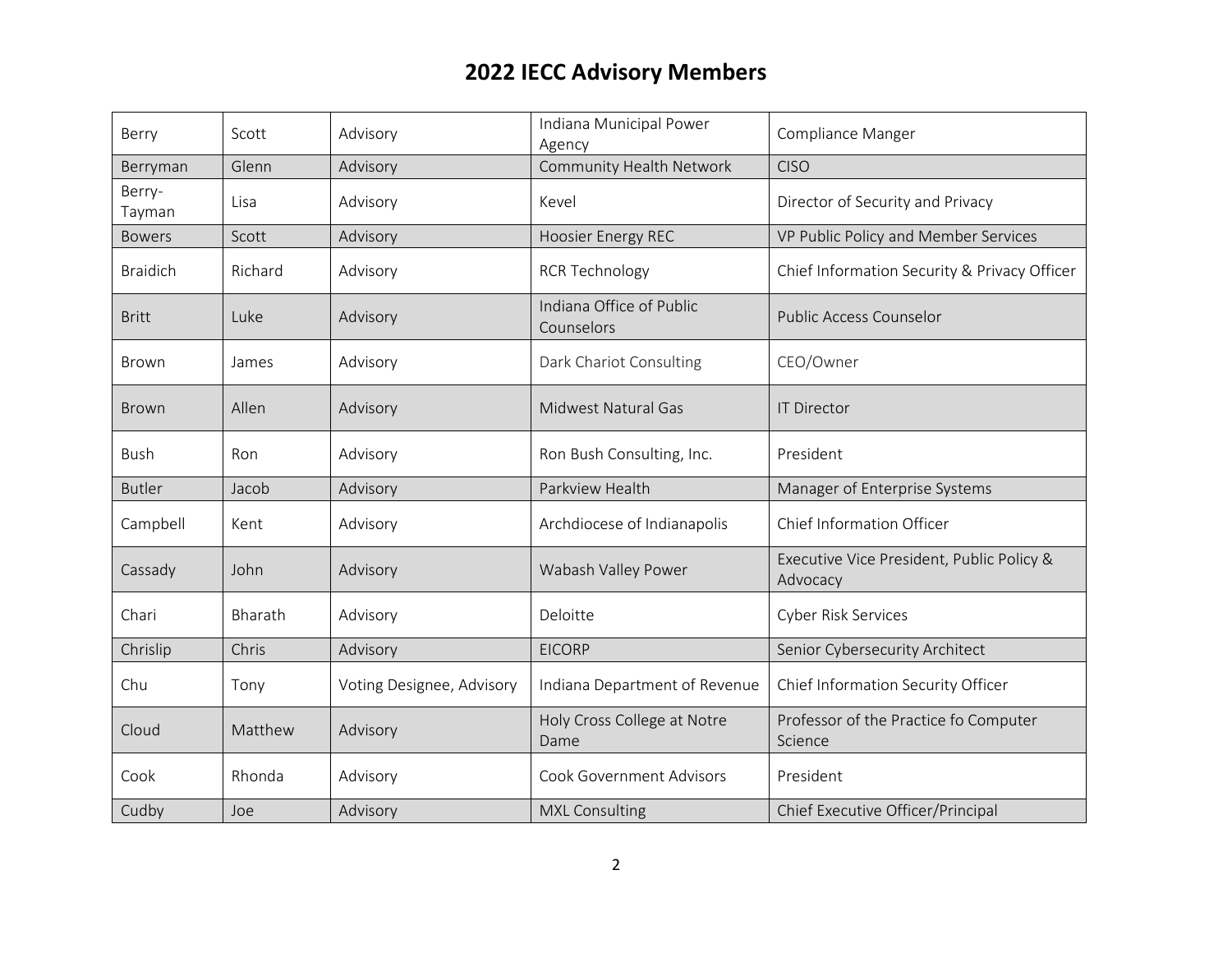| Berry            | Scott   | Advisory                  | Indiana Municipal Power<br>Agency      | Compliance Manger                                     |
|------------------|---------|---------------------------|----------------------------------------|-------------------------------------------------------|
| Berryman         | Glenn   | Advisory                  | <b>Community Health Network</b>        | <b>CISO</b>                                           |
| Berry-<br>Tayman | Lisa    | Advisory                  | Kevel                                  | Director of Security and Privacy                      |
| <b>Bowers</b>    | Scott   | Advisory                  | Hoosier Energy REC                     | VP Public Policy and Member Services                  |
| <b>Braidich</b>  | Richard | Advisory                  | <b>RCR Technology</b>                  | Chief Information Security & Privacy Officer          |
| <b>Britt</b>     | Luke    | Advisory                  | Indiana Office of Public<br>Counselors | <b>Public Access Counselor</b>                        |
| Brown            | James   | Advisory                  | Dark Chariot Consulting                | CEO/Owner                                             |
| <b>Brown</b>     | Allen   | Advisory                  | Midwest Natural Gas                    | <b>IT Director</b>                                    |
| <b>Bush</b>      | Ron     | Advisory                  | Ron Bush Consulting, Inc.              | President                                             |
| <b>Butler</b>    | Jacob   | Advisory                  | Parkview Health                        | Manager of Enterprise Systems                         |
| Campbell         | Kent    | Advisory                  | Archdiocese of Indianapolis            | Chief Information Officer                             |
| Cassady          | John    | Advisory                  | Wabash Valley Power                    | Executive Vice President, Public Policy &<br>Advocacy |
| Chari            | Bharath | Advisory                  | Deloitte                               | Cyber Risk Services                                   |
| Chrislip         | Chris   | Advisory                  | <b>EICORP</b>                          | Senior Cybersecurity Architect                        |
| Chu              | Tony    | Voting Designee, Advisory | Indiana Department of Revenue          | Chief Information Security Officer                    |
| Cloud            | Matthew | Advisory                  | Holy Cross College at Notre<br>Dame    | Professor of the Practice fo Computer<br>Science      |
| Cook             | Rhonda  | Advisory                  | <b>Cook Government Advisors</b>        | President                                             |
| Cudby            | Joe     | Advisory                  | <b>MXL Consulting</b>                  | Chief Executive Officer/Principal                     |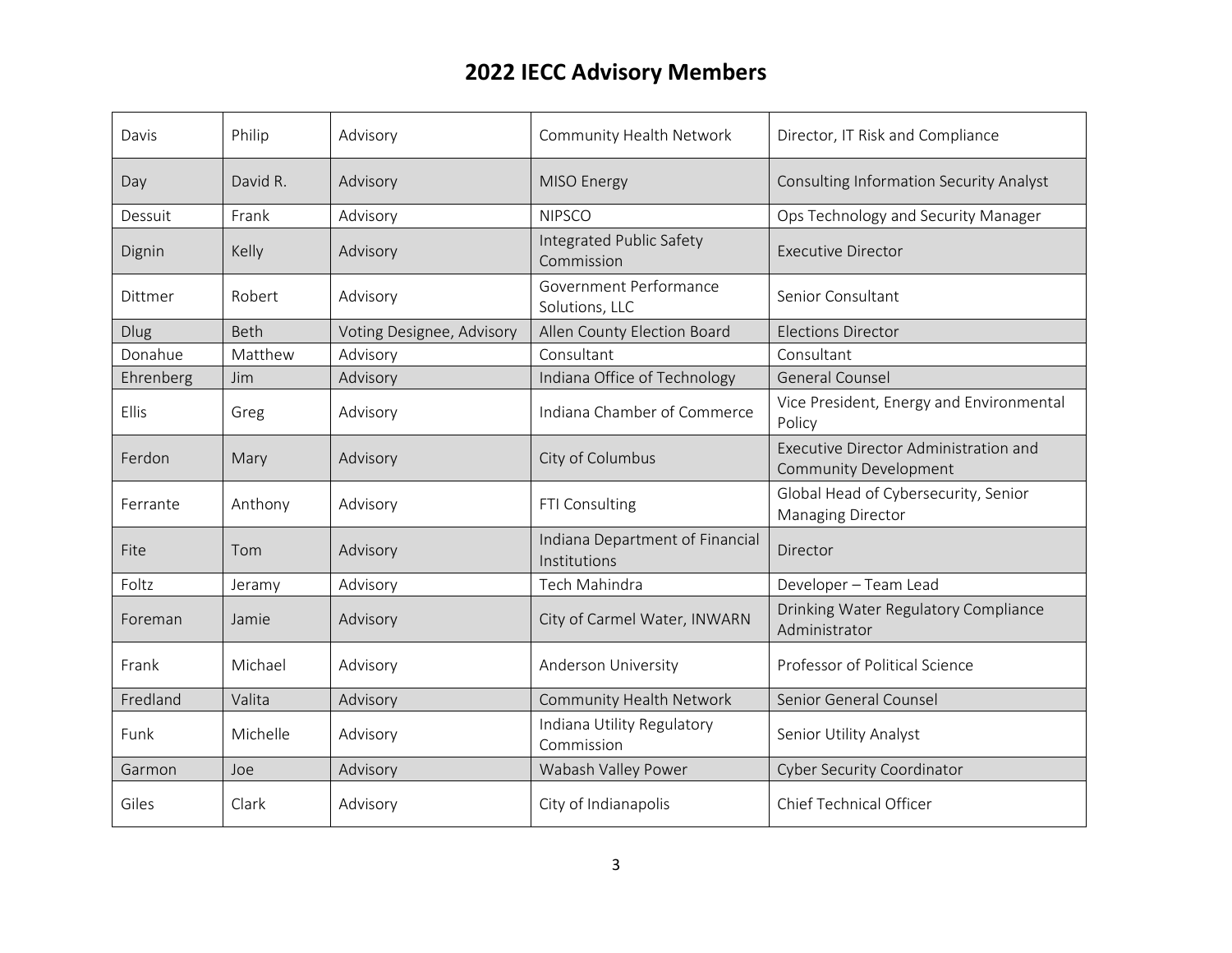| Davis        | Philip   | Advisory                  | Community Health Network                        | Director, IT Risk and Compliance                               |
|--------------|----------|---------------------------|-------------------------------------------------|----------------------------------------------------------------|
| Day          | David R. | Advisory                  | MISO Energy                                     | <b>Consulting Information Security Analyst</b>                 |
| Dessuit      | Frank    | Advisory                  | <b>NIPSCO</b>                                   | Ops Technology and Security Manager                            |
| Dignin       | Kelly    | Advisory                  | Integrated Public Safety<br>Commission          | <b>Executive Director</b>                                      |
| Dittmer      | Robert   | Advisory                  | Government Performance<br>Solutions, LLC        | Senior Consultant                                              |
| <b>Dlug</b>  | Beth     | Voting Designee, Advisory | Allen County Election Board                     | <b>Elections Director</b>                                      |
| Donahue      | Matthew  | Advisory                  | Consultant                                      | Consultant                                                     |
| Ehrenberg    | Jim      | Advisory                  | Indiana Office of Technology                    | <b>General Counsel</b>                                         |
| <b>Ellis</b> | Greg     | Advisory                  | Indiana Chamber of Commerce                     | Vice President, Energy and Environmental<br>Policy             |
| Ferdon       | Mary     | Advisory                  | City of Columbus                                | Executive Director Administration and<br>Community Development |
| Ferrante     | Anthony  | Advisory                  | FTI Consulting                                  | Global Head of Cybersecurity, Senior<br>Managing Director      |
| Fite         | Tom      | Advisory                  | Indiana Department of Financial<br>Institutions | Director                                                       |
| Foltz        | Jeramy   | Advisory                  | Tech Mahindra                                   | Developer - Team Lead                                          |
| Foreman      | Jamie    | Advisory                  | City of Carmel Water, INWARN                    | Drinking Water Regulatory Compliance<br>Administrator          |
| Frank        | Michael  | Advisory                  | Anderson University                             | Professor of Political Science                                 |
| Fredland     | Valita   | Advisory                  | Community Health Network                        | Senior General Counsel                                         |
| Funk         | Michelle | Advisory                  | Indiana Utility Regulatory<br>Commission        | Senior Utility Analyst                                         |
| Garmon       | Joe      | Advisory                  | Wabash Valley Power                             | <b>Cyber Security Coordinator</b>                              |
| Giles        | Clark    | Advisory                  | City of Indianapolis                            | Chief Technical Officer                                        |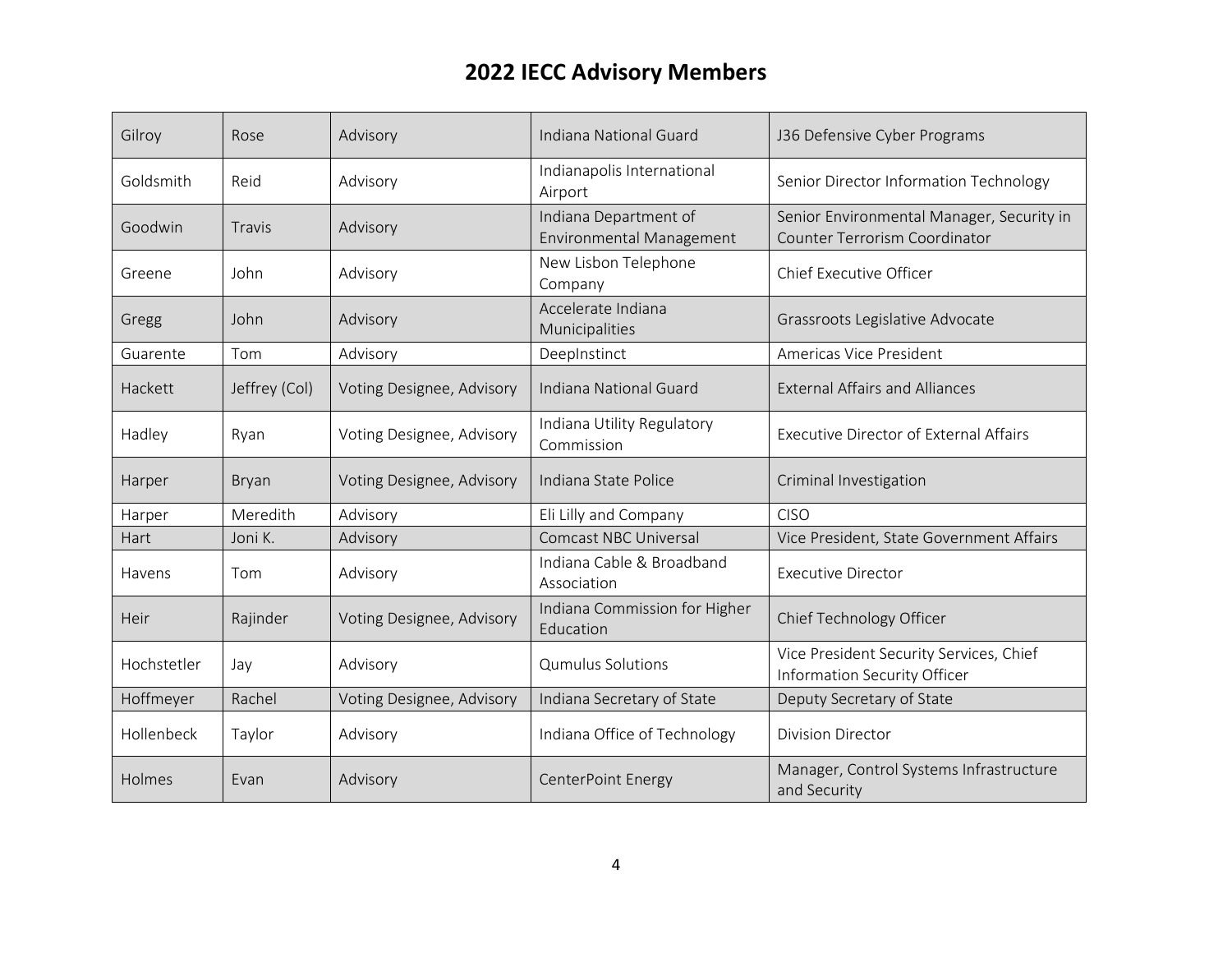| Gilroy      | Rose          | Advisory                  | Indiana National Guard                                   | J36 Defensive Cyber Programs                                                      |
|-------------|---------------|---------------------------|----------------------------------------------------------|-----------------------------------------------------------------------------------|
| Goldsmith   | Reid          | Advisory                  | Indianapolis International<br>Airport                    | Senior Director Information Technology                                            |
| Goodwin     | Travis        | Advisory                  | Indiana Department of<br><b>Environmental Management</b> | Senior Environmental Manager, Security in<br><b>Counter Terrorism Coordinator</b> |
| Greene      | John          | Advisory                  | New Lisbon Telephone<br>Company                          | Chief Executive Officer                                                           |
| Gregg       | John          | Advisory                  | Accelerate Indiana<br>Municipalities                     | Grassroots Legislative Advocate                                                   |
| Guarente    | Tom           | Advisory                  | DeepInstinct                                             | Americas Vice President                                                           |
| Hackett     | Jeffrey (Col) | Voting Designee, Advisory | Indiana National Guard                                   | <b>External Affairs and Alliances</b>                                             |
| Hadley      | Ryan          | Voting Designee, Advisory | Indiana Utility Regulatory<br>Commission                 | <b>Executive Director of External Affairs</b>                                     |
| Harper      | <b>Bryan</b>  | Voting Designee, Advisory | Indiana State Police                                     | Criminal Investigation                                                            |
| Harper      | Meredith      | Advisory                  | Eli Lilly and Company                                    | <b>CISO</b>                                                                       |
| Hart        | Joni K.       | Advisory                  | <b>Comcast NBC Universal</b>                             | Vice President, State Government Affairs                                          |
| Havens      | Tom           | Advisory                  | Indiana Cable & Broadband<br>Association                 | <b>Executive Director</b>                                                         |
| Heir        | Rajinder      | Voting Designee, Advisory | Indiana Commission for Higher<br>Education               | Chief Technology Officer                                                          |
| Hochstetler | Jay           | Advisory                  | <b>Qumulus Solutions</b>                                 | Vice President Security Services, Chief<br>Information Security Officer           |
| Hoffmeyer   | Rachel        | Voting Designee, Advisory | Indiana Secretary of State                               | Deputy Secretary of State                                                         |
| Hollenbeck  | Taylor        | Advisory                  | Indiana Office of Technology                             | <b>Division Director</b>                                                          |
| Holmes      | Evan          | Advisory                  | CenterPoint Energy                                       | Manager, Control Systems Infrastructure<br>and Security                           |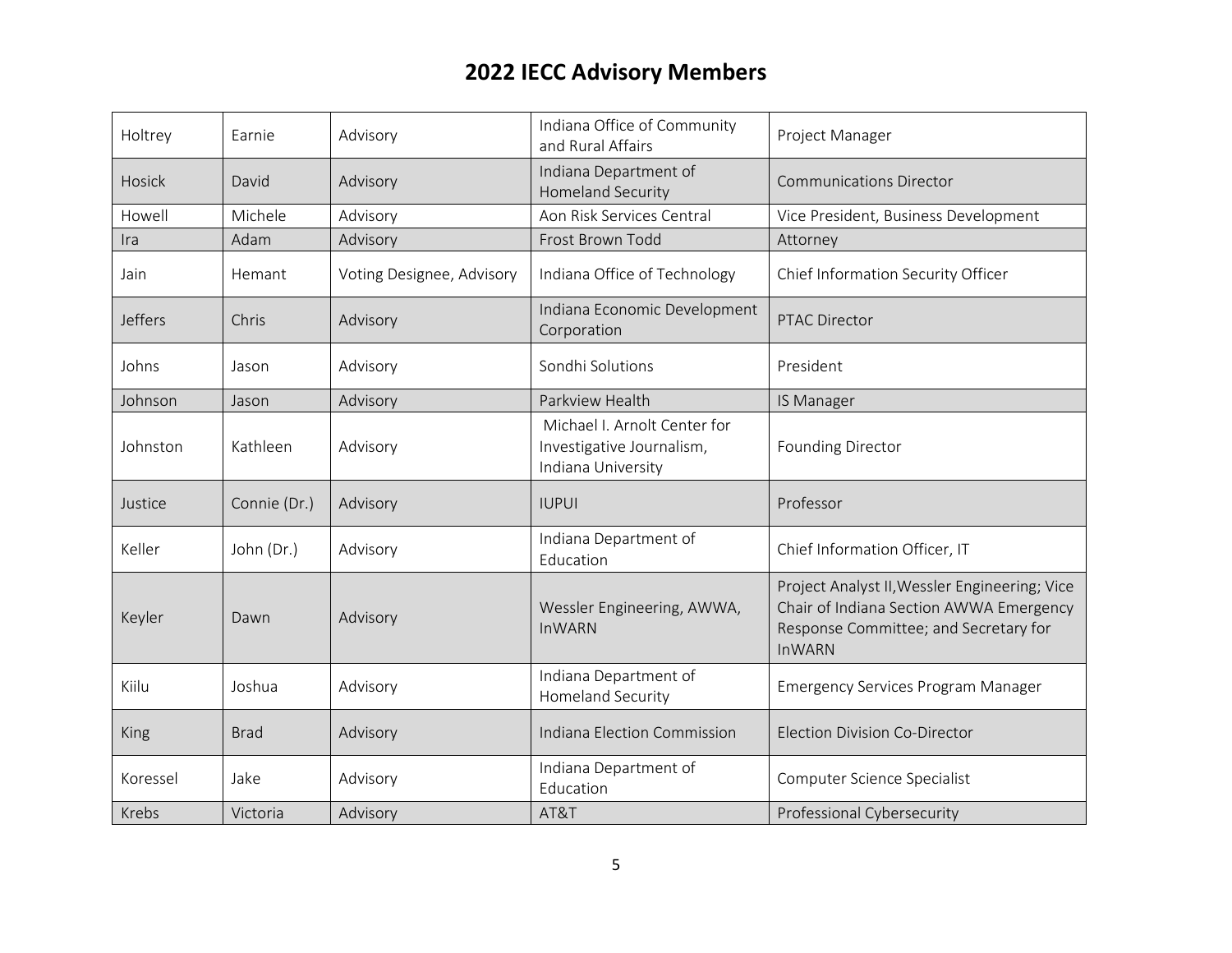| Holtrey        | Earnie       | Advisory                  | Indiana Office of Community<br>and Rural Affairs                                | Project Manager                                                                                                                                    |
|----------------|--------------|---------------------------|---------------------------------------------------------------------------------|----------------------------------------------------------------------------------------------------------------------------------------------------|
| Hosick         | David        | Advisory                  | Indiana Department of<br><b>Homeland Security</b>                               | <b>Communications Director</b>                                                                                                                     |
| Howell         | Michele      | Advisory                  | Aon Risk Services Central                                                       | Vice President, Business Development                                                                                                               |
| Ira            | Adam         | Advisory                  | Frost Brown Todd                                                                | Attorney                                                                                                                                           |
| Jain           | Hemant       | Voting Designee, Advisory | Indiana Office of Technology                                                    | Chief Information Security Officer                                                                                                                 |
| <b>Jeffers</b> | Chris        | Advisory                  | Indiana Economic Development<br>Corporation                                     | <b>PTAC Director</b>                                                                                                                               |
| Johns          | Jason        | Advisory                  | Sondhi Solutions                                                                | President                                                                                                                                          |
| Johnson        | Jason        | Advisory                  | Parkview Health                                                                 | IS Manager                                                                                                                                         |
| Johnston       | Kathleen     | Advisory                  | Michael I. Arnolt Center for<br>Investigative Journalism,<br>Indiana University | <b>Founding Director</b>                                                                                                                           |
| Justice        | Connie (Dr.) | Advisory                  | <b>IUPUI</b>                                                                    | Professor                                                                                                                                          |
| Keller         | John (Dr.)   | Advisory                  | Indiana Department of<br>Education                                              | Chief Information Officer, IT                                                                                                                      |
| Keyler         | Dawn         | Advisory                  | Wessler Engineering, AWWA,<br><b>InWARN</b>                                     | Project Analyst II, Wessler Engineering; Vice<br>Chair of Indiana Section AWWA Emergency<br>Response Committee; and Secretary for<br><b>InWARN</b> |
| Kiilu          | Joshua       | Advisory                  | Indiana Department of<br><b>Homeland Security</b>                               | <b>Emergency Services Program Manager</b>                                                                                                          |
| King           | <b>Brad</b>  | Advisory                  | Indiana Election Commission                                                     | <b>Election Division Co-Director</b>                                                                                                               |
| Koressel       | Jake         | Advisory                  | Indiana Department of<br>Education                                              | Computer Science Specialist                                                                                                                        |
| Krebs          | Victoria     | Advisory                  | AT&T                                                                            | Professional Cybersecurity                                                                                                                         |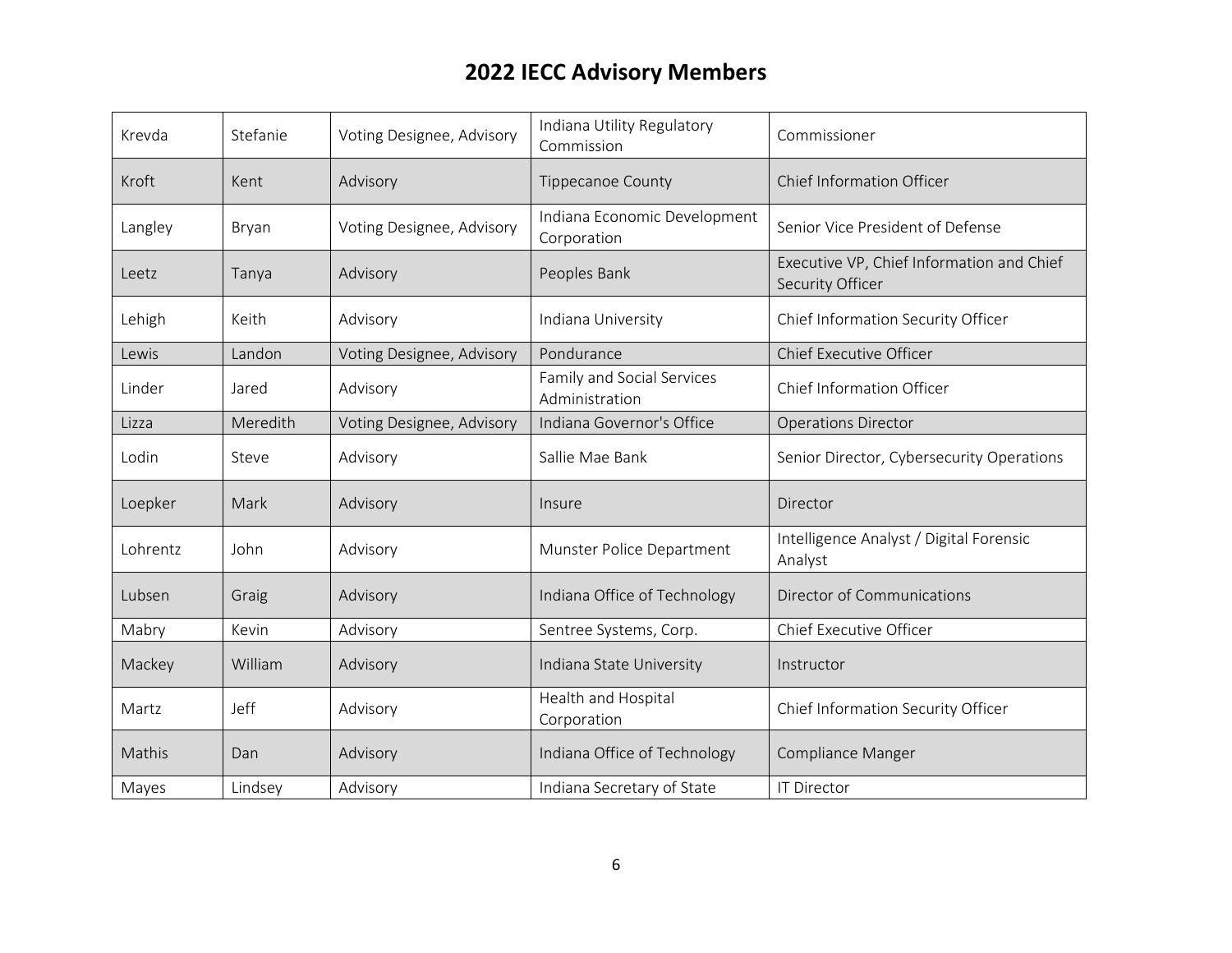| Krevda   | Stefanie | Voting Designee, Advisory | Indiana Utility Regulatory<br>Commission     | Commissioner                                                  |
|----------|----------|---------------------------|----------------------------------------------|---------------------------------------------------------------|
| Kroft    | Kent     | Advisory                  | <b>Tippecanoe County</b>                     | Chief Information Officer                                     |
| Langley  | Bryan    | Voting Designee, Advisory | Indiana Economic Development<br>Corporation  | Senior Vice President of Defense                              |
| Leetz    | Tanya    | Advisory                  | Peoples Bank                                 | Executive VP, Chief Information and Chief<br>Security Officer |
| Lehigh   | Keith    | Advisory                  | Indiana University                           | Chief Information Security Officer                            |
| Lewis    | Landon   | Voting Designee, Advisory | Pondurance                                   | Chief Executive Officer                                       |
| Linder   | Jared    | Advisory                  | Family and Social Services<br>Administration | Chief Information Officer                                     |
| Lizza    | Meredith | Voting Designee, Advisory | Indiana Governor's Office                    | <b>Operations Director</b>                                    |
| Lodin    | Steve    | Advisory                  | Sallie Mae Bank                              | Senior Director, Cybersecurity Operations                     |
| Loepker  | Mark     | Advisory                  | Insure                                       | Director                                                      |
| Lohrentz | John     | Advisory                  | Munster Police Department                    | Intelligence Analyst / Digital Forensic<br>Analyst            |
| Lubsen   | Graig    | Advisory                  | Indiana Office of Technology                 | Director of Communications                                    |
| Mabry    | Kevin    | Advisory                  | Sentree Systems, Corp.                       | Chief Executive Officer                                       |
| Mackey   | William  | Advisory                  | Indiana State University                     | Instructor                                                    |
| Martz    | Jeff     | Advisory                  | Health and Hospital<br>Corporation           | Chief Information Security Officer                            |
| Mathis   | Dan      | Advisory                  | Indiana Office of Technology                 | Compliance Manger                                             |
| Mayes    | Lindsey  | Advisory                  | Indiana Secretary of State                   | <b>IT Director</b>                                            |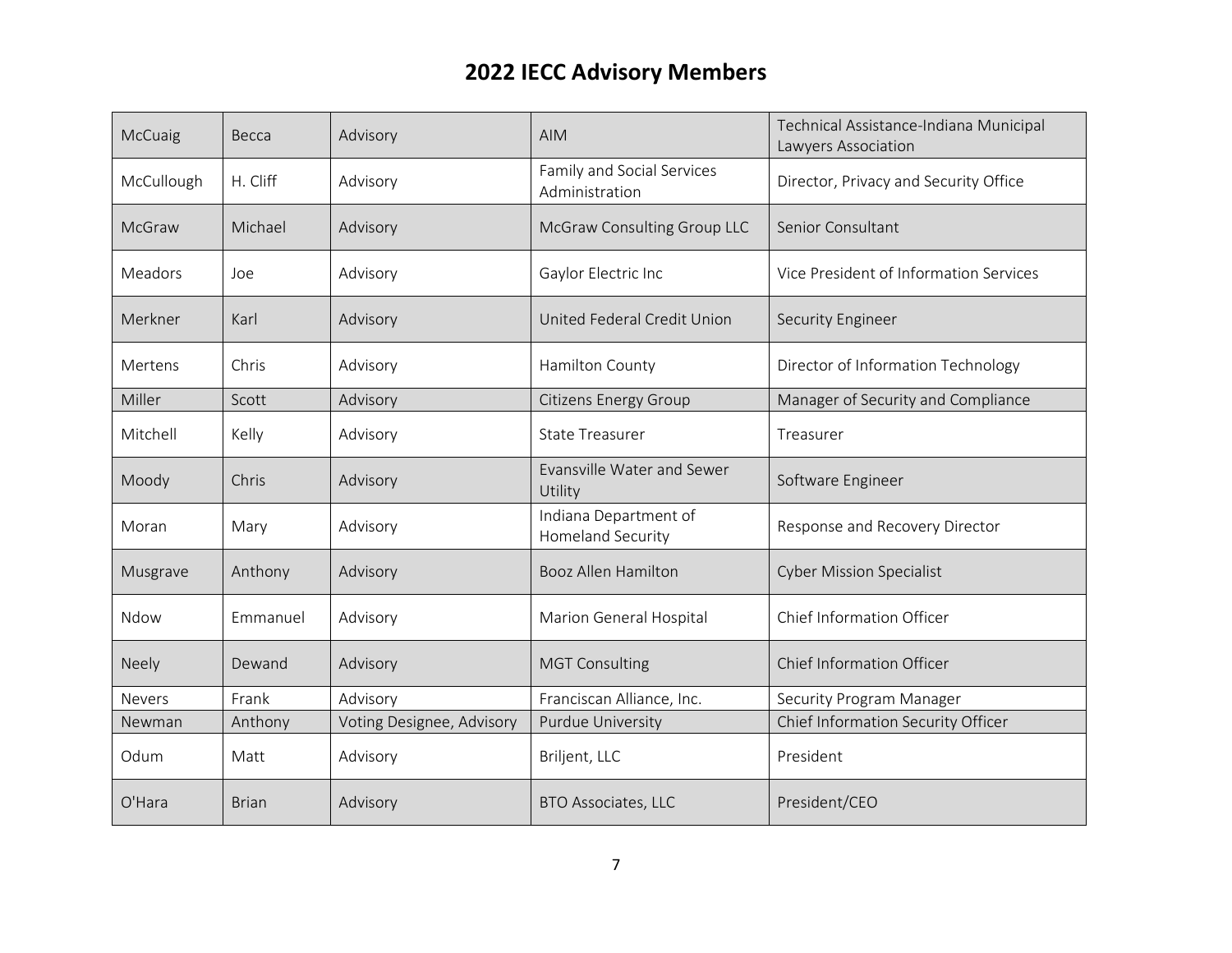| McCuaig       | Becca        | Advisory                  | <b>AIM</b>                                        | Technical Assistance-Indiana Municipal<br>Lawyers Association |
|---------------|--------------|---------------------------|---------------------------------------------------|---------------------------------------------------------------|
| McCullough    | H. Cliff     | Advisory                  | Family and Social Services<br>Administration      | Director, Privacy and Security Office                         |
| <b>McGraw</b> | Michael      | Advisory                  | McGraw Consulting Group LLC                       | Senior Consultant                                             |
| Meadors       | Joe          | Advisory                  | Gaylor Electric Inc                               | Vice President of Information Services                        |
| Merkner       | Karl         | Advisory                  | United Federal Credit Union                       | Security Engineer                                             |
| Mertens       | Chris        | Advisory                  | Hamilton County                                   | Director of Information Technology                            |
| Miller        | Scott        | Advisory                  | <b>Citizens Energy Group</b>                      | Manager of Security and Compliance                            |
| Mitchell      | Kelly        | Advisory                  | <b>State Treasurer</b>                            | Treasurer                                                     |
| Moody         | Chris        | Advisory                  | Evansville Water and Sewer<br>Utility             | Software Engineer                                             |
| Moran         | Mary         | Advisory                  | Indiana Department of<br><b>Homeland Security</b> | Response and Recovery Director                                |
| Musgrave      | Anthony      | Advisory                  | <b>Booz Allen Hamilton</b>                        | <b>Cyber Mission Specialist</b>                               |
| Ndow          | Emmanuel     | Advisory                  | Marion General Hospital                           | Chief Information Officer                                     |
| <b>Neely</b>  | Dewand       | Advisory                  | <b>MGT Consulting</b>                             | Chief Information Officer                                     |
| <b>Nevers</b> | Frank        | Advisory                  | Franciscan Alliance, Inc.                         | Security Program Manager                                      |
| Newman        | Anthony      | Voting Designee, Advisory | Purdue University                                 | Chief Information Security Officer                            |
| Odum          | Matt         | Advisory                  | Briljent, LLC                                     | President                                                     |
| O'Hara        | <b>Brian</b> | Advisory                  | <b>BTO Associates, LLC</b>                        | President/CEO                                                 |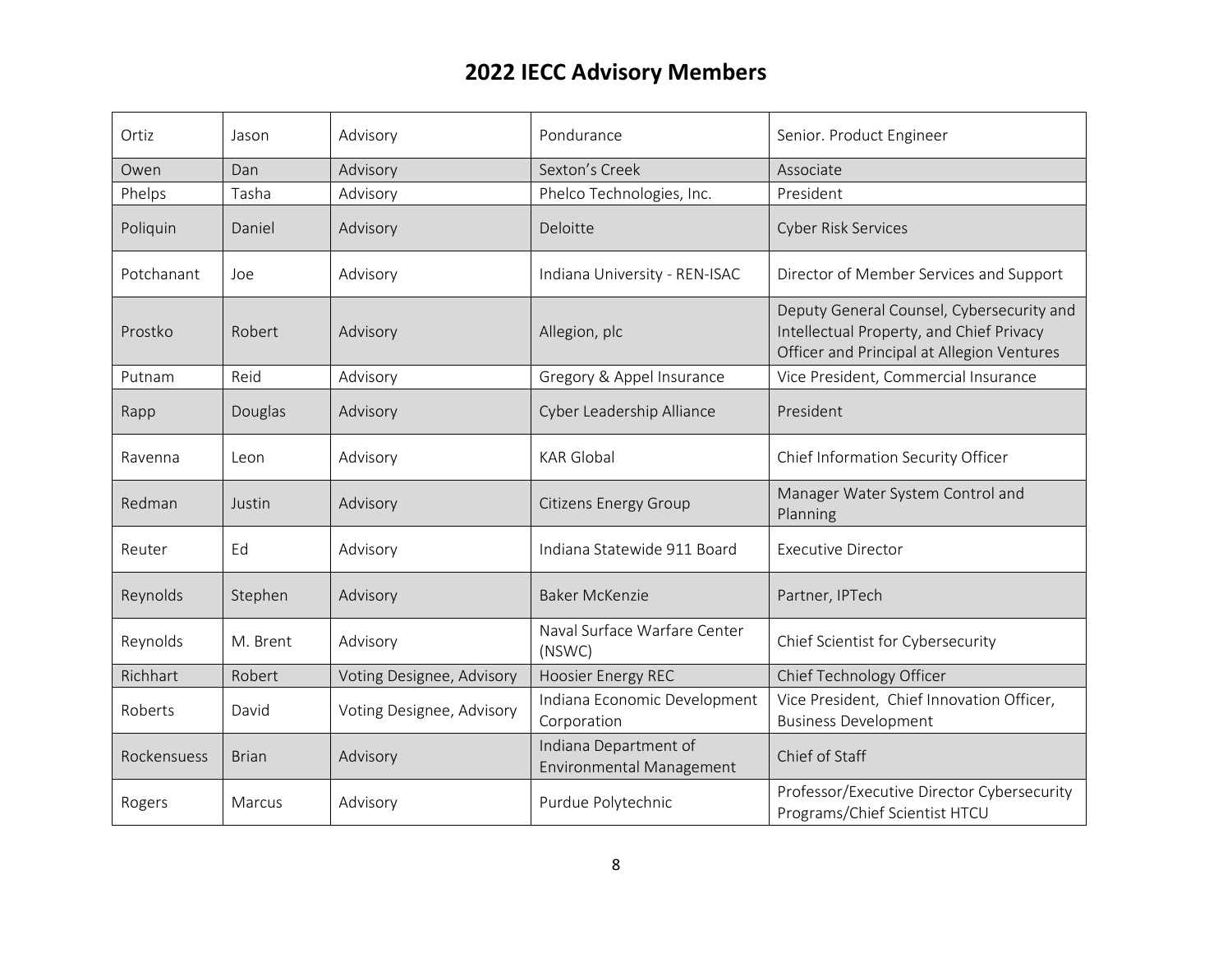| Ortiz       | Jason        | Advisory                  | Pondurance                                        | Senior. Product Engineer                                                                                                            |
|-------------|--------------|---------------------------|---------------------------------------------------|-------------------------------------------------------------------------------------------------------------------------------------|
| Owen        | Dan          | Advisory                  | Sexton's Creek                                    | Associate                                                                                                                           |
| Phelps      | Tasha        | Advisory                  | Phelco Technologies, Inc.                         | President                                                                                                                           |
| Poliquin    | Daniel       | Advisory                  | Deloitte                                          | <b>Cyber Risk Services</b>                                                                                                          |
| Potchanant  | Joe          | Advisory                  | Indiana University - REN-ISAC                     | Director of Member Services and Support                                                                                             |
| Prostko     | Robert       | Advisory                  | Allegion, plc                                     | Deputy General Counsel, Cybersecurity and<br>Intellectual Property, and Chief Privacy<br>Officer and Principal at Allegion Ventures |
| Putnam      | Reid         | Advisory                  | Gregory & Appel Insurance                         | Vice President, Commercial Insurance                                                                                                |
| Rapp        | Douglas      | Advisory                  | Cyber Leadership Alliance                         | President                                                                                                                           |
| Ravenna     | Leon         | Advisory                  | <b>KAR Global</b>                                 | Chief Information Security Officer                                                                                                  |
| Redman      | Justin       | Advisory                  | <b>Citizens Energy Group</b>                      | Manager Water System Control and<br>Planning                                                                                        |
| Reuter      | Ed           | Advisory                  | Indiana Statewide 911 Board                       | <b>Executive Director</b>                                                                                                           |
| Reynolds    | Stephen      | Advisory                  | <b>Baker McKenzie</b>                             | Partner, IPTech                                                                                                                     |
| Reynolds    | M. Brent     | Advisory                  | Naval Surface Warfare Center<br>(NSWC)            | Chief Scientist for Cybersecurity                                                                                                   |
| Richhart    | Robert       | Voting Designee, Advisory | <b>Hoosier Energy REC</b>                         | Chief Technology Officer                                                                                                            |
| Roberts     | David        | Voting Designee, Advisory | Indiana Economic Development<br>Corporation       | Vice President, Chief Innovation Officer,<br><b>Business Development</b>                                                            |
| Rockensuess | <b>Brian</b> | Advisory                  | Indiana Department of<br>Environmental Management | Chief of Staff                                                                                                                      |
| Rogers      | Marcus       | Advisory                  | Purdue Polytechnic                                | Professor/Executive Director Cybersecurity<br>Programs/Chief Scientist HTCU                                                         |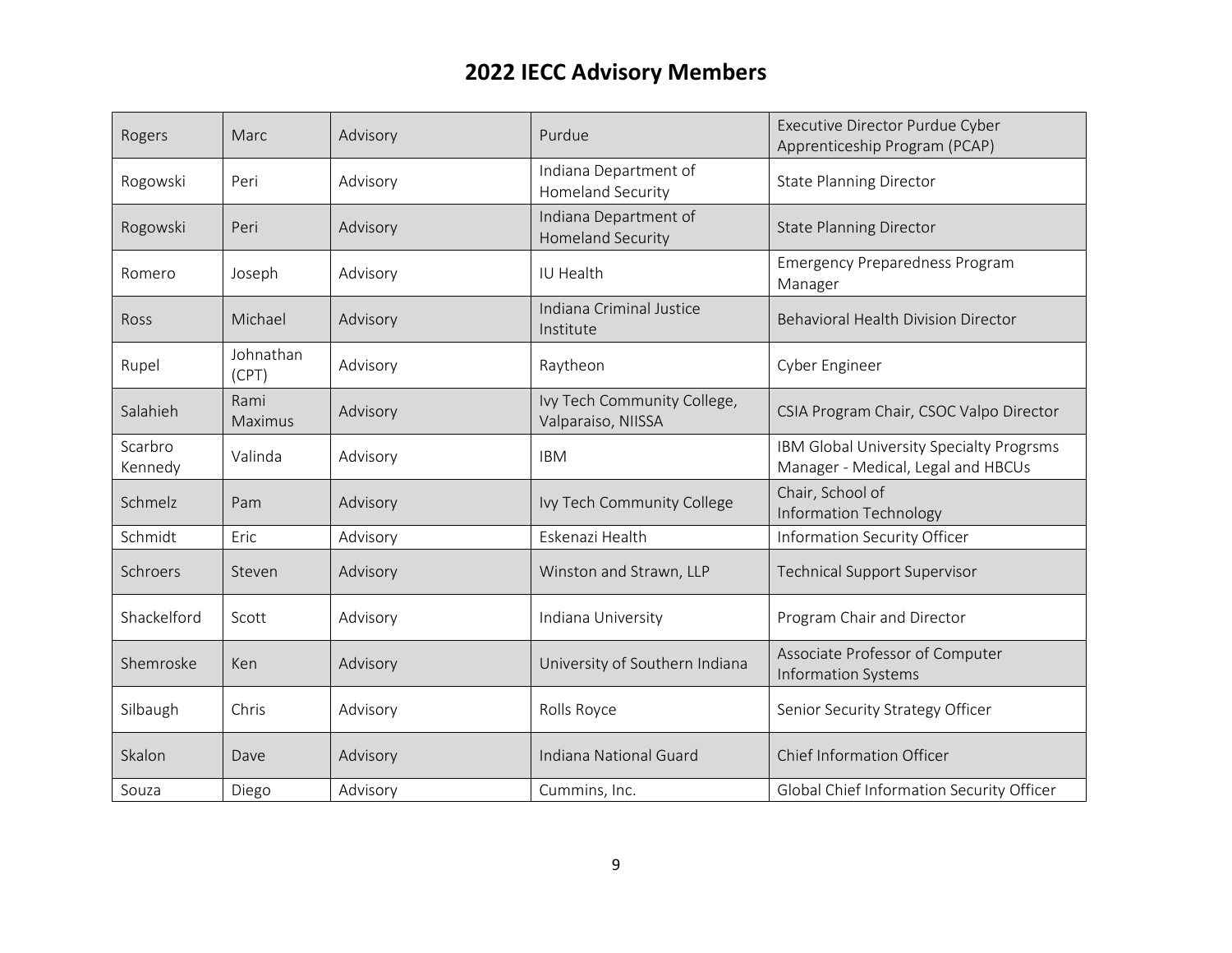| Rogers             | Marc               | Advisory | Purdue                                            | Executive Director Purdue Cyber<br>Apprenticeship Program (PCAP)               |
|--------------------|--------------------|----------|---------------------------------------------------|--------------------------------------------------------------------------------|
| Rogowski           | Peri               | Advisory | Indiana Department of<br>Homeland Security        | <b>State Planning Director</b>                                                 |
| Rogowski           | Peri               | Advisory | Indiana Department of<br><b>Homeland Security</b> | <b>State Planning Director</b>                                                 |
| Romero             | Joseph             | Advisory | IU Health                                         | <b>Emergency Preparedness Program</b><br>Manager                               |
| Ross               | Michael            | Advisory | Indiana Criminal Justice<br>Institute             | <b>Behavioral Health Division Director</b>                                     |
| Rupel              | Johnathan<br>(CPT) | Advisory | Raytheon                                          | <b>Cyber Engineer</b>                                                          |
| Salahieh           | Rami<br>Maximus    | Advisory | Ivy Tech Community College,<br>Valparaiso, NIISSA | CSIA Program Chair, CSOC Valpo Director                                        |
| Scarbro<br>Kennedy | Valinda            | Advisory | <b>IBM</b>                                        | IBM Global University Specialty Progrsms<br>Manager - Medical, Legal and HBCUs |
| Schmelz            | Pam                | Advisory | Ivy Tech Community College                        | Chair, School of<br><b>Information Technology</b>                              |
| Schmidt            | Eric               | Advisory | Eskenazi Health                                   | Information Security Officer                                                   |
| Schroers           | Steven             | Advisory | Winston and Strawn, LLP                           | <b>Technical Support Supervisor</b>                                            |
| Shackelford        | Scott              | Advisory | Indiana University                                | Program Chair and Director                                                     |
| Shemroske          | Ken                | Advisory | University of Southern Indiana                    | Associate Professor of Computer<br><b>Information Systems</b>                  |
| Silbaugh           | Chris              | Advisory | Rolls Royce                                       | Senior Security Strategy Officer                                               |
| Skalon             | Dave               | Advisory | Indiana National Guard                            | <b>Chief Information Officer</b>                                               |
| Souza              | Diego              | Advisory | Cummins, Inc.                                     | Global Chief Information Security Officer                                      |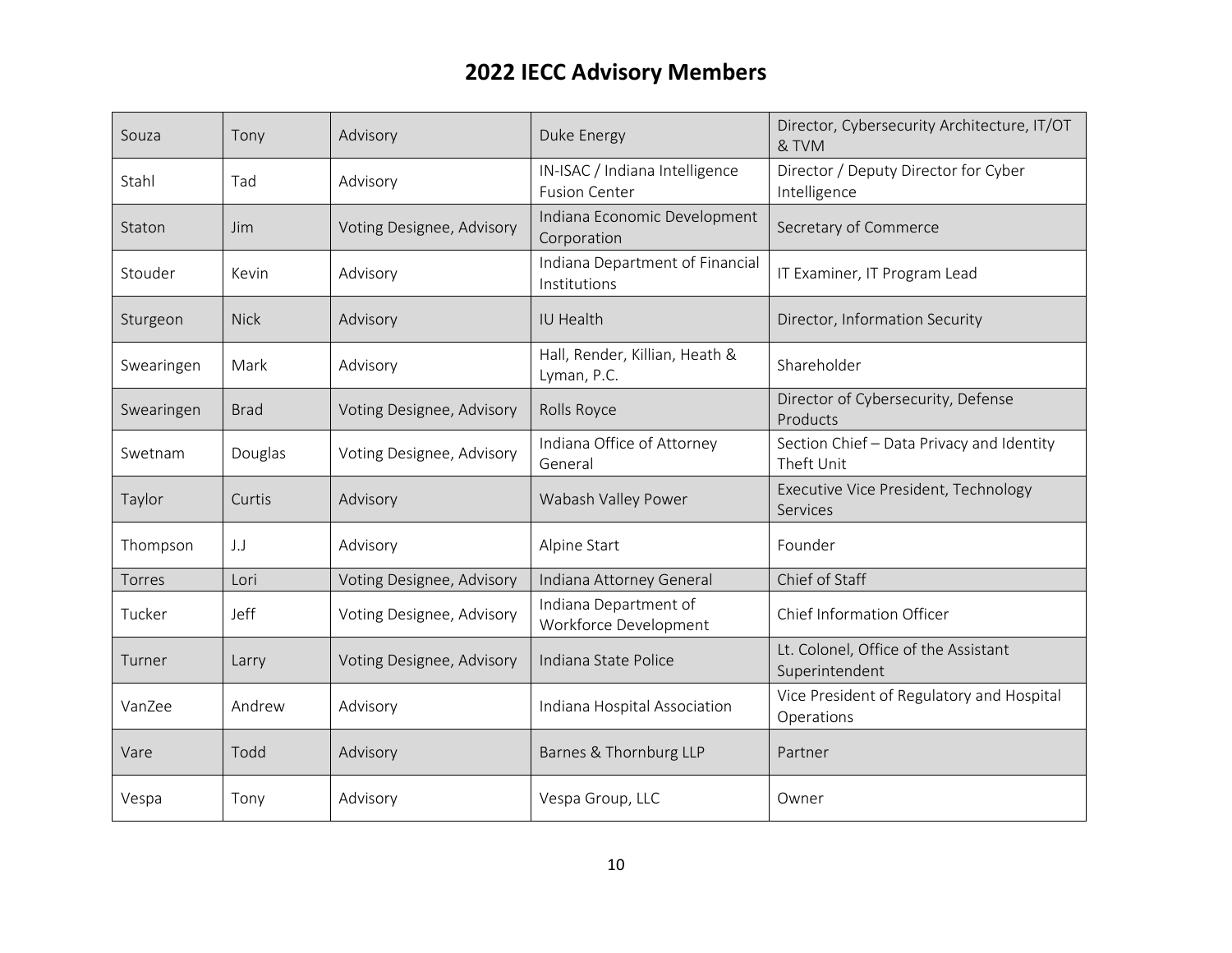| Souza      | Tony        | Advisory                  | Duke Energy                                            | Director, Cybersecurity Architecture, IT/OT<br>& TVM    |
|------------|-------------|---------------------------|--------------------------------------------------------|---------------------------------------------------------|
| Stahl      | Tad         | Advisory                  | IN-ISAC / Indiana Intelligence<br><b>Fusion Center</b> | Director / Deputy Director for Cyber<br>Intelligence    |
| Staton     | <b>Jim</b>  | Voting Designee, Advisory | Indiana Economic Development<br>Corporation            | Secretary of Commerce                                   |
| Stouder    | Kevin       | Advisory                  | Indiana Department of Financial<br>Institutions        | IT Examiner, IT Program Lead                            |
| Sturgeon   | <b>Nick</b> | Advisory                  | IU Health                                              | Director, Information Security                          |
| Swearingen | Mark        | Advisory                  | Hall, Render, Killian, Heath &<br>Lyman, P.C.          | Shareholder                                             |
| Swearingen | <b>Brad</b> | Voting Designee, Advisory | Rolls Royce                                            | Director of Cybersecurity, Defense<br>Products          |
| Swetnam    | Douglas     | Voting Designee, Advisory | Indiana Office of Attorney<br>General                  | Section Chief - Data Privacy and Identity<br>Theft Unit |
| Taylor     | Curtis      | Advisory                  | Wabash Valley Power                                    | Executive Vice President, Technology<br>Services        |
| Thompson   | $\perp$     | Advisory                  | Alpine Start                                           | Founder                                                 |
| Torres     | Lori        | Voting Designee, Advisory | Indiana Attorney General                               | Chief of Staff                                          |
| Tucker     | Jeff        | Voting Designee, Advisory | Indiana Department of<br>Workforce Development         | Chief Information Officer                               |
| Turner     | Larry       | Voting Designee, Advisory | Indiana State Police                                   | Lt. Colonel, Office of the Assistant<br>Superintendent  |
| VanZee     | Andrew      | Advisory                  | Indiana Hospital Association                           | Vice President of Regulatory and Hospital<br>Operations |
| Vare       | Todd        | Advisory                  | Barnes & Thornburg LLP                                 | Partner                                                 |
| Vespa      | Tony        | Advisory                  | Vespa Group, LLC                                       | Owner                                                   |